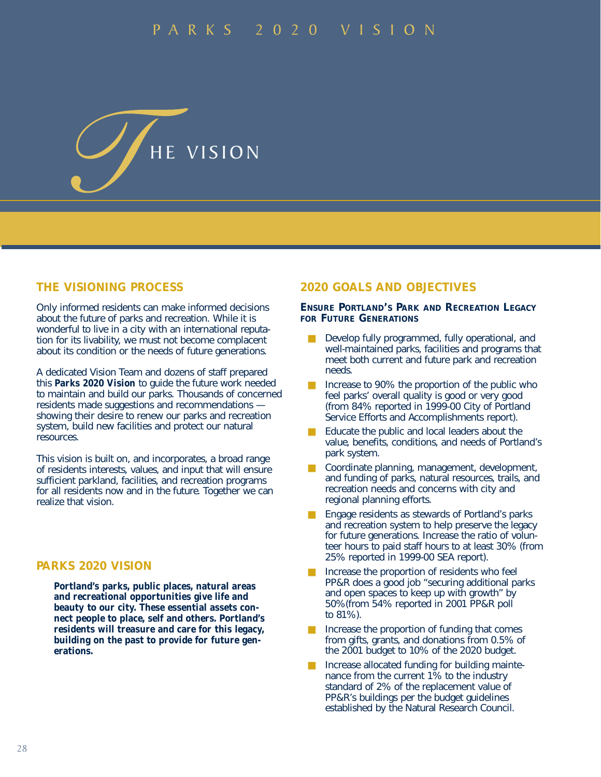

#### **THE VISIONING PROCESS**

Only informed residents can make informed decisions about the future of parks and recreation. While it is wonderful to live in a city with an international reputation for its livability, we must not become complacent about its condition or the needs of future generations.

A dedicated Vision Team and dozens of staff prepared this *Parks 2020 Vision* to guide the future work needed to maintain and build our parks. Thousands of concerned residents made suggestions and recommendations showing their desire to renew our parks and recreation system, build new facilities and protect our natural resources.

This vision is built on, and incorporates, a broad range of residents interests, values, and input that will ensure sufficient parkland, facilities, and recreation programs for all residents now and in the future. Together we can realize that vision.

### **PARKS 2020 VISION**

*Portland's parks, public places, natural areas and recreational opportunities give life and beauty to our city. These essential assets connect people to place, self and others. Portland's residents will treasure and care for this legacy, building on the past to provide for future generations.*

#### **2020 GOALS AND OBJECTIVES**

#### **ENSURE PORTLAND'S PARK AND RECREATION LEGACY FOR FUTURE GENERATIONS**

- Develop fully programmed, fully operational, and well-maintained parks, facilities and programs that meet both current and future park and recreation needs.
- Increase to 90% the proportion of the public who feel parks' overall quality is good or very good (from 84% reported in 1999-00 City of Portland Service Efforts and Accomplishments report).
- Educate the public and local leaders about the value, benefits, conditions, and needs of Portland's park system.
- Coordinate planning, management, development, and funding of parks, natural resources, trails, and recreation needs and concerns with city and regional planning efforts.
- Engage residents as stewards of Portland's parks and recreation system to help preserve the legacy for future generations. Increase the ratio of volunteer hours to paid staff hours to at least 30% (from 25% reported in 1999-00 SEA report).
- Increase the proportion of residents who feel PP&R does a good job "securing additional parks and open spaces to keep up with growth" by 50%(from 54% reported in 2001 PP&R poll to 81%).
- Increase the proportion of funding that comes from gifts, grants, and donations from 0.5% of the 2001 budget to 10% of the 2020 budget.
- Increase allocated funding for building maintenance from the current 1% to the industry standard of 2% of the replacement value of PP&R's buildings per the budget guidelines established by the Natural Research Council.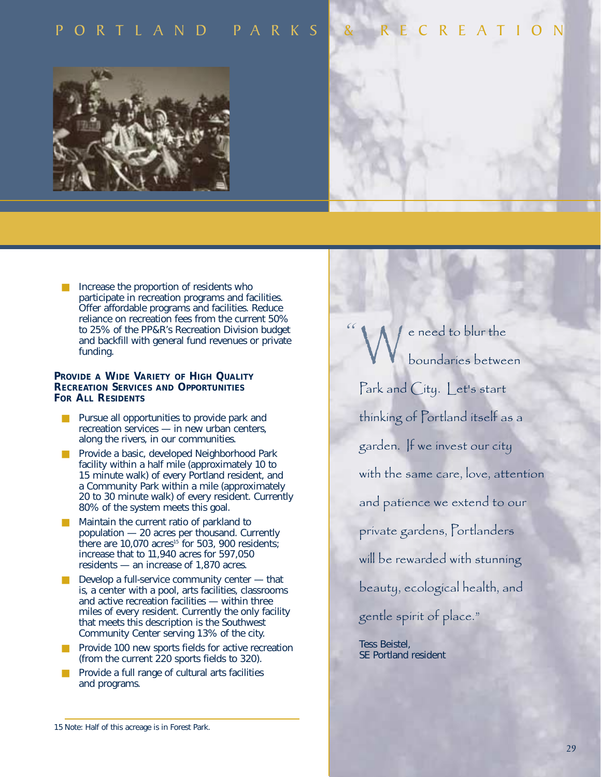## ORTLAND PARKS & RECREATION



■ Increase the proportion of residents who participate in recreation programs and facilities. Offer affordable programs and facilities. Reduce reliance on recreation fees from the current 50% to 25% of the PP&R's Recreation Division budget and backfill with general fund revenues or private funding.

#### **PROVIDE A WIDE VARIETY OF HIGH QUALITY RECREATION SERVICES AND OPPORTUNITIES FOR ALL RESIDENTS**

- Pursue all opportunities to provide park and recreation services — in new urban centers, along the rivers, in our communities.
- Provide a basic, developed Neighborhood Park facility within a half mile (approximately 10 to 15 minute walk) of every Portland resident, and a Community Park within a mile (approximately 20 to 30 minute walk) of every resident. Currently 80% of the system meets this goal.
- Maintain the current ratio of parkland to population — 20 acres per thousand. Currently there are  $10,070$  acres<sup>15</sup> for 503, 900 residents; increase that to 11,940 acres for 597,050 residents — an increase of 1,870 acres.
- $\Box$  Develop a full-service community center  $-$  that is, a center with a pool, arts facilities, classrooms and active recreation facilities — within three miles of every resident. Currently the only facility that meets this description is the Southwest Community Center serving 13% of the city.
- Provide 100 new sports fields for active recreation (from the current 220 sports fields to 320).
- Provide a full range of cultural arts facilities and programs.

e need to blur the boundaries between Park and City. Let's start thinking of Portland itself as a garden. If we invest our city with the same care, love, attention and patience we extend to our private gardens, Portlanders will be rewarded with stunning beauty, ecological health, and gentle spirit of place." *"* W

Tess Beistel, SE Portland resident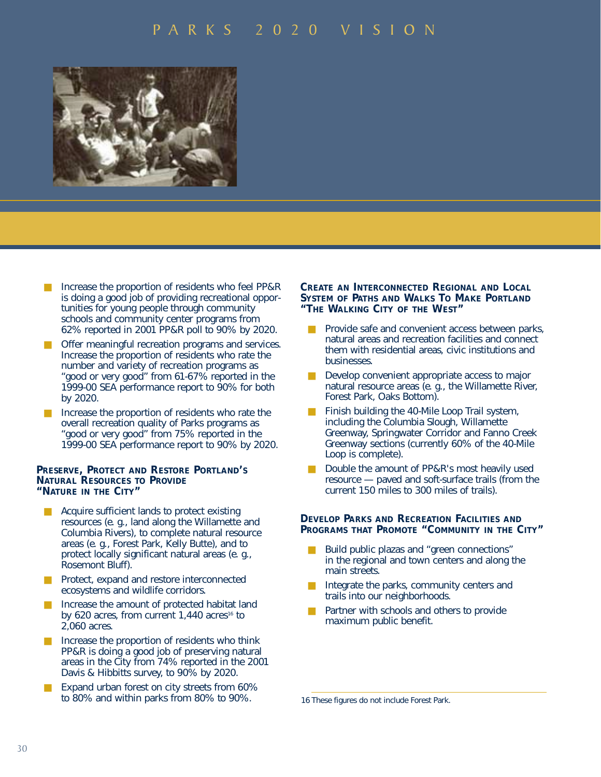

- Increase the proportion of residents who feel PP&R is doing a good job of providing recreational opportunities for young people through community schools and community center programs from 62% reported in 2001 PP&R poll to 90% by 2020.
- Offer meaningful recreation programs and services. Increase the proportion of residents who rate the number and variety of recreation programs as "good or very good" from 61-67% reported in the 1999-00 SEA performance report to 90% for both by 2020.
- Increase the proportion of residents who rate the overall recreation quality of Parks programs as "good or very good" from 75% reported in the 1999-00 SEA performance report to 90% by 2020.

#### **PRESERVE, PROTECT AND RESTORE PORTLAND'S NATURAL RESOURCES TO PROVIDE "NATURE IN THE CITY"**

- Acquire sufficient lands to protect existing resources (e. g., land along the Willamette and Columbia Rivers), to complete natural resource areas (e. g., Forest Park, Kelly Butte), and to protect locally significant natural areas (e. g., Rosemont Bluff).
- Protect, expand and restore interconnected ecosystems and wildlife corridors.
- Increase the amount of protected habitat land by 620 acres, from current 1,440 acres<sup>16</sup> to 2,060 acres.
- Increase the proportion of residents who think PP&R is doing a good job of preserving natural areas in the City from 74% reported in the 2001 Davis & Hibbitts survey, to 90% by 2020.
- Expand urban forest on city streets from 60% to 80% and within parks from 80% to 90%.

#### **CREATE AN INTERCONNECTED REGIONAL AND LOCAL SYSTEM OF PATHS AND WALKS TO MAKE PORTLAND "THE WALKING CITY OF THE WEST"**

- Provide safe and convenient access between parks, natural areas and recreation facilities and connect them with residential areas, civic institutions and businesses.
- Develop convenient appropriate access to major natural resource areas (e. g., the Willamette River, Forest Park, Oaks Bottom).
- Finish building the 40-Mile Loop Trail system, including the Columbia Slough, Willamette Greenway, Springwater Corridor and Fanno Creek Greenway sections (currently 60% of the 40-Mile Loop is complete).
- Double the amount of PP&R's most heavily used resource — paved and soft-surface trails (from the current 150 miles to 300 miles of trails).

#### **DEVELOP PARKS AND RECREATION FACILITIES AND PROGRAMS THAT PROMOTE "COMMUNITY IN THE CITY"**

- Build public plazas and "green connections" in the regional and town centers and along the main streets.
- Integrate the parks, community centers and trails into our neighborhoods.
- Partner with schools and others to provide maximum public benefit.

<sup>16</sup> These figures do not include Forest Park.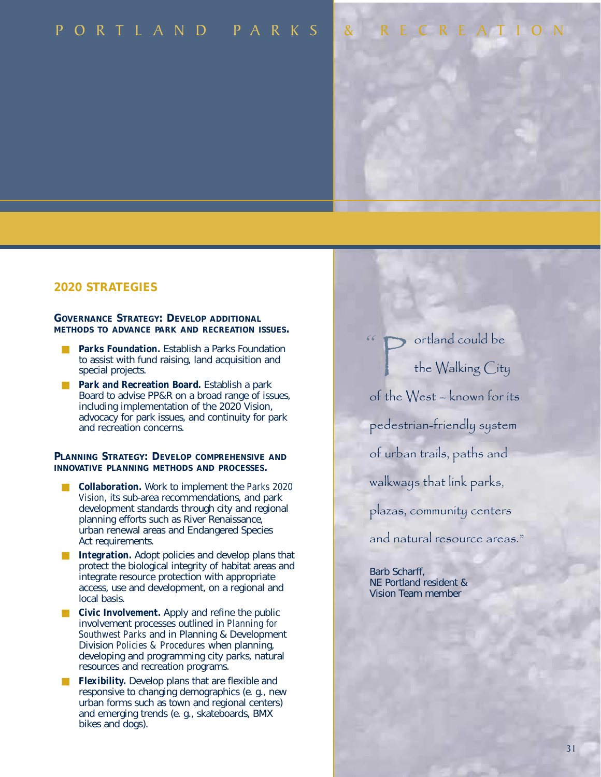# PORTLAND PARKS & RECREATIO

#### **2020 STRATEGIES**

#### **GOVERNANCE STRATEGY: DEVELOP ADDITIONAL METHODS TO ADVANCE PARK AND RECREATION ISSUES.**

- *Parks Foundation.* Establish a Parks Foundation to assist with fund raising, land acquisition and special projects.
- Park and Recreation Board. Establish a park Board to advise PP&R on a broad range of issues, including implementation of the 2020 Vision, advocacy for park issues, and continuity for park and recreation concerns.

#### **PLANNING STRATEGY: DEVELOP COMPREHENSIVE AND INNOVATIVE PLANNING METHODS AND PROCESSES.**

- **Collaboration.** Work to implement the *Parks 2020 Vision,* its sub-area recommendations, and park development standards through city and regional planning efforts such as River Renaissance, urban renewal areas and Endangered Species Act requirements.
- *Integration*. Adopt policies and develop plans that protect the biological integrity of habitat areas and integrate resource protection with appropriate access, use and development, on a regional and local basis.
- *Civic Involvement.* Apply and refine the public involvement processes outlined in *Planning for Southwest Parks* and in Planning & Development Division *Policies & Procedures* when planning, developing and programming city parks, natural resources and recreation programs.
- *Flexibility.* Develop plans that are flexible and responsive to changing demographics (e. g., new urban forms such as town and regional centers) and emerging trends (e. g., skateboards, BMX bikes and dogs).

P ortland could be<br>the Walking City the Walking City of the West – known for its pedestrian-friendly system of urban trails, paths and walkways that link parks, plazas, community centers and natural resource areas." *"*

Barb Scharff, NE Portland resident & Vision Team member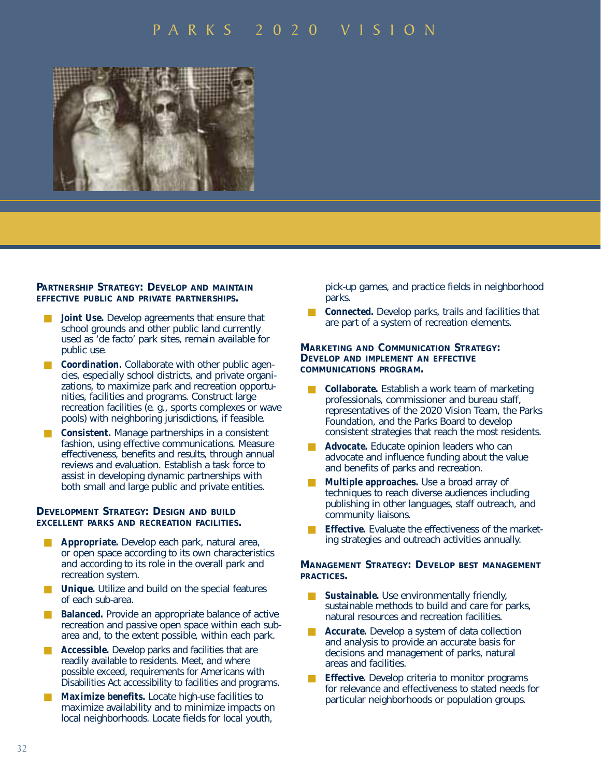

#### **PARTNERSHIP STRATEGY: DEVELOP AND MAINTAIN EFFECTIVE PUBLIC AND PRIVATE PARTNERSHIPS.**

- *Joint Use.* Develop agreements that ensure that school grounds and other public land currently used as 'de facto' park sites, remain available for public use.
- *Coordination.* Collaborate with other public agencies, especially school districts, and private organizations, to maximize park and recreation opportunities, facilities and programs. Construct large recreation facilities (e. g., sports complexes or wave pools) with neighboring jurisdictions, if feasible.
- *Consistent.* Manage partnerships in a consistent fashion, using effective communications. Measure effectiveness, benefits and results, through annual reviews and evaluation. Establish a task force to assist in developing dynamic partnerships with both small and large public and private entities.

#### **DEVELOPMENT STRATEGY: DESIGN AND BUILD EXCELLENT PARKS AND RECREATION FACILITIES.**

- Appropriate. Develop each park, natural area, or open space according to its own characteristics and according to its role in the overall park and recreation system.
- *Unique*. Utilize and build on the special features of each sub-area.
- **Balanced.** Provide an appropriate balance of active recreation and passive open space within each subarea and, to the extent possible, within each park.
- Accessible. Develop parks and facilities that are readily available to residents. Meet, and where possible exceed, requirements for Americans with Disabilities Act accessibility to facilities and programs.
- Maximize benefits. Locate high-use facilities to maximize availability and to minimize impacts on local neighborhoods. Locate fields for local youth,

pick-up games, and practice fields in neighborhood parks.

*Connected.* Develop parks, trails and facilities that are part of a system of recreation elements.

#### **MARKETING AND COMMUNICATION STRATEGY: DEVELOP AND IMPLEMENT AN EFFECTIVE COMMUNICATIONS PROGRAM.**

- *Collaborate.* Establish a work team of marketing professionals, commissioner and bureau staff, representatives of the 2020 Vision Team, the Parks Foundation, and the Parks Board to develop consistent strategies that reach the most residents.
- Advocate. Educate opinion leaders who can advocate and influence funding about the value and benefits of parks and recreation.
- *Multiple approaches.* Use a broad array of techniques to reach diverse audiences including publishing in other languages, staff outreach, and community liaisons.
- *Effective.* Evaluate the effectiveness of the marketing strategies and outreach activities annually.

#### **MANAGEMENT STRATEGY: DEVELOP BEST MANAGEMENT PRACTICES.**

- *Sustainable.* Use environmentally friendly, sustainable methods to build and care for parks, natural resources and recreation facilities.
- *Accurate.* Develop a system of data collection and analysis to provide an accurate basis for decisions and management of parks, natural areas and facilities.
- *Effective.* Develop criteria to monitor programs for relevance and effectiveness to stated needs for particular neighborhoods or population groups.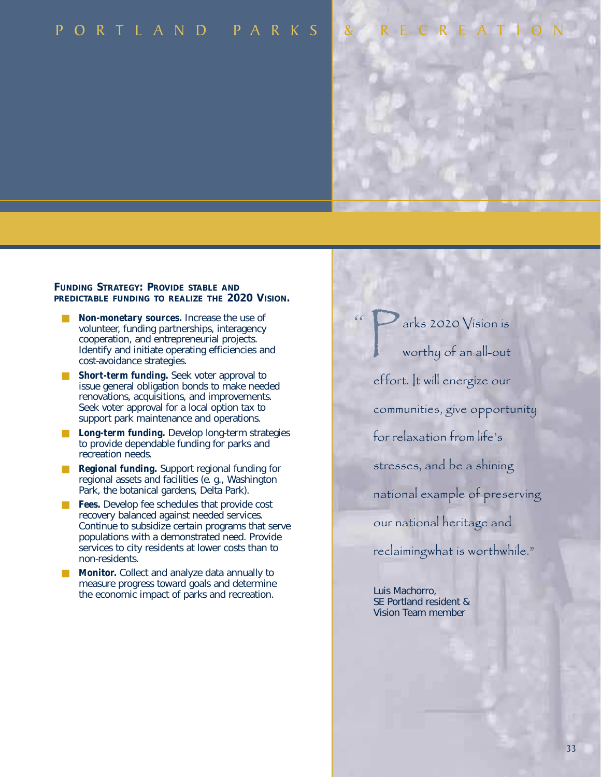# PORTLAND PARKS & RECREATION

#### **FUNDING STRATEGY: PROVIDE STABLE AND PREDICTABLE FUNDING TO REALIZE THE 2020 VISION.**

- *Non-monetary sources.* Increase the use of volunteer, funding partnerships, interagency cooperation, and entrepreneurial projects. Identify and initiate operating efficiencies and cost-avoidance strategies.
- *Short-term funding.* Seek voter approval to issue general obligation bonds to make needed renovations, acquisitions, and improvements. Seek voter approval for a local option tax to support park maintenance and operations.
- *Long-term funding.* Develop long-term strategies to provide dependable funding for parks and recreation needs.
- **Regional funding.** Support regional funding for regional assets and facilities (e. g., Washington Park, the botanical gardens, Delta Park).
- **Fees.** Develop fee schedules that provide cost recovery balanced against needed services. Continue to subsidize certain programs that serve populations with a demonstrated need. Provide services to city residents at lower costs than to non-residents.
- **Monitor.** Collect and analyze data annually to measure progress toward goals and determine the economic impact of parks and recreation.

arks 2020 Vision is worthy of an all-out effort. It will energize our communities, give opportunity for relaxation from life's stresses, and be a shining national example of preserving our national heritage and reclaimingwhat is worthwhile." P

*"*

Luis Machorro, SE Portland resident & Vision Team member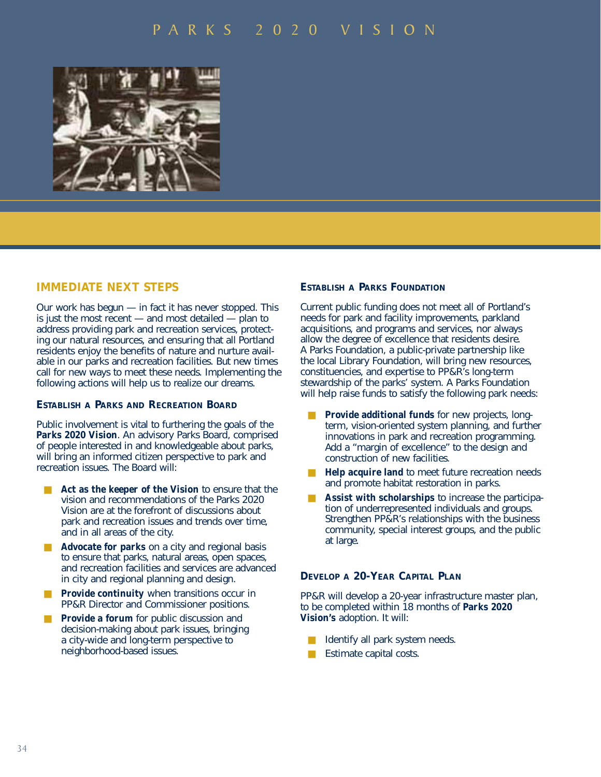

#### **IMMEDIATE NEXT STEPS**

Our work has begun — in fact it has never stopped. This is just the most recent — and most detailed — plan to address providing park and recreation services, protecting our natural resources, and ensuring that all Portland residents enjoy the benefits of nature and nurture available in our parks and recreation facilities. But new times call for new ways to meet these needs. Implementing the following actions will help us to realize our dreams.

#### **ESTABLISH A PARKS AND RECREATION BOARD**

Public involvement is vital to furthering the goals of the *Parks 2020 Vision*. An advisory Parks Board, comprised of people interested in and knowledgeable about parks, will bring an informed citizen perspective to park and recreation issues. The Board will:

- Act as the keeper of the Vision to ensure that the vision and recommendations of the Parks 2020 Vision are at the forefront of discussions about park and recreation issues and trends over time, and in all areas of the city.
- Advocate for parks on a city and regional basis to ensure that parks, natural areas, open spaces, and recreation facilities and services are advanced in city and regional planning and design.
- **Provide continuity** when transitions occur in PP&R Director and Commissioner positions.
- *Provide a forum* for public discussion and decision-making about park issues, bringing a city-wide and long-term perspective to neighborhood-based issues.

#### **ESTABLISH A PARKS FOUNDATION**

Current public funding does not meet all of Portland's needs for park and facility improvements, parkland acquisitions, and programs and services, nor always allow the degree of excellence that residents desire. A Parks Foundation, a public-private partnership like the local Library Foundation, will bring new resources, constituencies, and expertise to PP&R's long-term stewardship of the parks' system. A Parks Foundation will help raise funds to satisfy the following park needs:

- **Provide additional funds** for new projects, longterm, vision-oriented system planning, and further innovations in park and recreation programming. Add a "margin of excellence" to the design and construction of new facilities.
- *Help acquire land* to meet future recreation needs and promote habitat restoration in parks.
- Assist with scholarships to increase the participation of underrepresented individuals and groups. Strengthen PP&R's relationships with the business community, special interest groups, and the public at large.

#### **DEVELOP A 20-YEAR CAPITAL PLAN**

PP&R will develop a 20-year infrastructure master plan, to be completed within 18 months of *Parks 2020 Vision's* adoption. It will:

- Identify all park system needs.
- Estimate capital costs.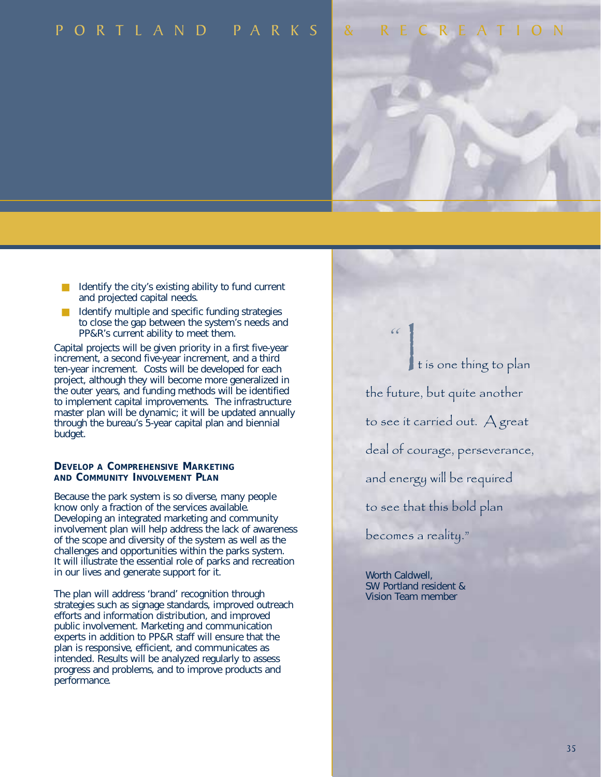## PORTLAND PARKS & RECREATION

- Identify the city's existing ability to fund current and projected capital needs.
- Identify multiple and specific funding strategies to close the gap between the system's needs and PP&R's current ability to meet them.

Capital projects will be given priority in a first five-year increment, a second five-year increment, and a third ten-year increment. Costs will be developed for each project, although they will become more generalized in the outer years, and funding methods will be identified to implement capital improvements. The infrastructure master plan will be dynamic; it will be updated annually through the bureau's 5-year capital plan and biennial budget.

#### **DEVELOP A COMPREHENSIVE MARKETING AND COMMUNITY INVOLVEMENT PLAN**

Because the park system is so diverse, many people know only a fraction of the services available. Developing an integrated marketing and community involvement plan will help address the lack of awareness of the scope and diversity of the system as well as the challenges and opportunities within the parks system. It will illustrate the essential role of parks and recreation in our lives and generate support for it.

The plan will address 'brand' recognition through strategies such as signage standards, improved outreach efforts and information distribution, and improved public involvement. Marketing and communication experts in addition to PP&R staff will ensure that the plan is responsive, efficient, and communicates as intended. Results will be analyzed regularly to assess progress and problems, and to improve products and performance.

|<br>|<br>|<br>t is one thing to plan the future, but quite another to see it carried out. A great deal of courage, perseverance, and energy will be required to see that this bold plan becomes a reality."

Worth Caldwell, SW Portland resident & Vision Team member

*"*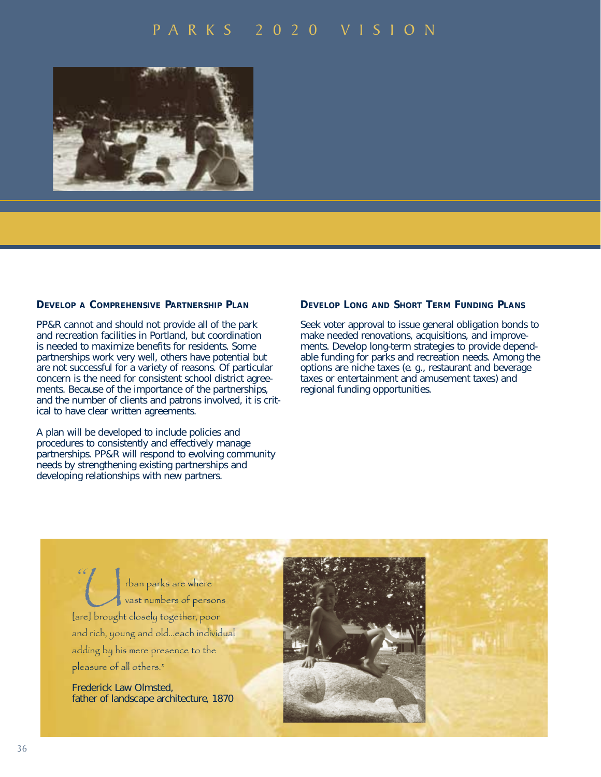

#### **DEVELOP A COMPREHENSIVE PARTNERSHIP PLAN**

PP&R cannot and should not provide all of the park and recreation facilities in Portland, but coordination is needed to maximize benefits for residents. Some partnerships work very well, others have potential but are not successful for a variety of reasons. Of particular concern is the need for consistent school district agreements. Because of the importance of the partnerships, and the number of clients and patrons involved, it is critical to have clear written agreements.

A plan will be developed to include policies and procedures to consistently and effectively manage partnerships. PP&R will respond to evolving community needs by strengthening existing partnerships and developing relationships with new partners.

#### **DEVELOP LONG AND SHORT TERM FUNDING PLANS**

Seek voter approval to issue general obligation bonds to make needed renovations, acquisitions, and improvements. Develop long-term strategies to provide dependable funding for parks and recreation needs. Among the options are niche taxes (e. g., restaurant and beverage taxes or entertainment and amusement taxes) and regional funding opportunities.

rban parks are where (Contrast numbers of persons) [are] brought closely together, poor and rich, young and old...each individual adding by his mere presence to the pleasure of all others." *"*

Frederick Law Olmsted, father of landscape architecture, 1870